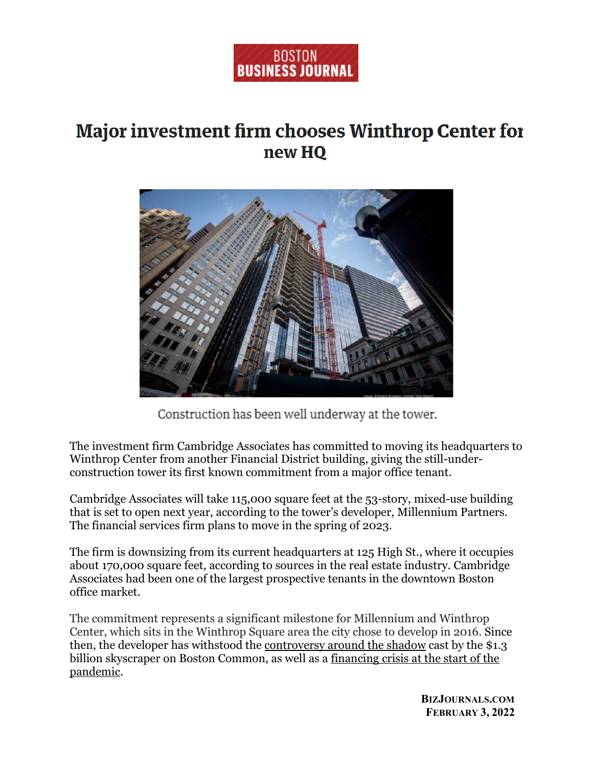

## **Major investment firm chooses Winthrop Center for** new HQ



Construction has been well underway at the tower.

The investment firm Cambridge Associates has committed to moving its headquarters to Winthrop Center from another Financial District building, giving the still-underconstruction tower its first known commitment from a major office tenant.

Cambridge Associates will take 115,000 square feet at the 53-story, mixed-use building that is set to open next year, according to the tower's developer, Millennium Partners. The financial services firm plans to move in the spring of 2023.

The firm is downsizing from its current headquarters at 125 High St., where it occupies about 170,000 square feet, according to sources in the real estate industry. Cambridge Associates had been one of the largest prospective tenants in the downtown Boston office market.

The commitment represents a significant milestone for Millennium and Winthrop Center, which sits in the Winthrop Square area the city chose to develop in 2016. Since then, the developer has withstood the [controversy around the shadow](https://www.bizjournals.com/boston/news/2017/07/28/baker-oks-tweak-of-shadow-laws-to-allow-for.html) cast by the \$1.3 billion skyscraper on Boston Common, as well as a [financing crisis at the start of the](https://www.bizjournals.com/boston/news/2020/10/19/how-winthrop-center-almost-became-another-filene-s.html)  [pandemic.](https://www.bizjournals.com/boston/news/2020/10/19/how-winthrop-center-almost-became-another-filene-s.html)

> **BIZJOURNALS.COM FEBRUARY 3, 2022**